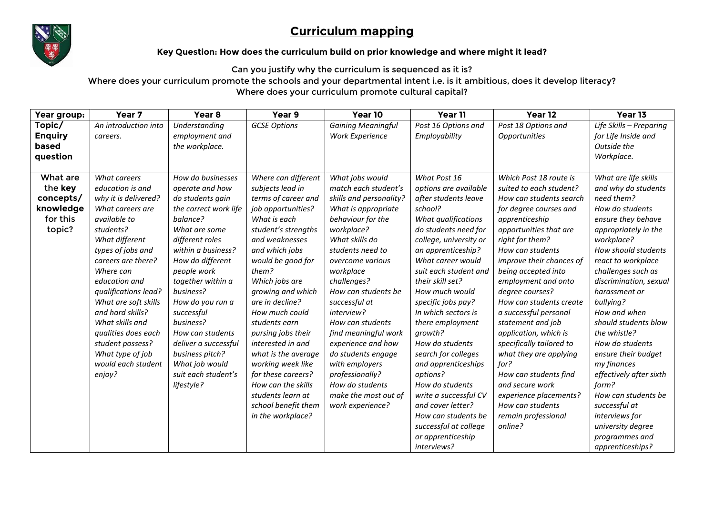## **Curriculum mapping**



## **Key Question: How does the curriculum build on prior knowledge and where might it lead?**

Can you justify why the curriculum is sequenced as it is?

Where does your curriculum promote the schools and your departmental intent i.e. is it ambitious, does it develop literacy? Where does your curriculum promote cultural capital?

| Year group:                                                         | Year <sub>7</sub>                                                                                                                                                                                                                                                                                                                                                                          | Year <sub>8</sub>                                                                                                                                                                                                                                                                                                                                                                                 | Year 9                                                                                                                                                                                                                                                                                                                                                                                                                                                                                         | Year 10                                                                                                                                                                                                                                                                                                                                                                                                                                                              | Year 11                                                                                                                                                                                                                                                                                                                                                                                                                                                                                                                                                                   | Year 12                                                                                                                                                                                                                                                                                                                                                                                                                                                                                                                                                                            | Year 13                                                                                                                                                                                                                                                                                                                                                                                                                                                                                                                                       |
|---------------------------------------------------------------------|--------------------------------------------------------------------------------------------------------------------------------------------------------------------------------------------------------------------------------------------------------------------------------------------------------------------------------------------------------------------------------------------|---------------------------------------------------------------------------------------------------------------------------------------------------------------------------------------------------------------------------------------------------------------------------------------------------------------------------------------------------------------------------------------------------|------------------------------------------------------------------------------------------------------------------------------------------------------------------------------------------------------------------------------------------------------------------------------------------------------------------------------------------------------------------------------------------------------------------------------------------------------------------------------------------------|----------------------------------------------------------------------------------------------------------------------------------------------------------------------------------------------------------------------------------------------------------------------------------------------------------------------------------------------------------------------------------------------------------------------------------------------------------------------|---------------------------------------------------------------------------------------------------------------------------------------------------------------------------------------------------------------------------------------------------------------------------------------------------------------------------------------------------------------------------------------------------------------------------------------------------------------------------------------------------------------------------------------------------------------------------|------------------------------------------------------------------------------------------------------------------------------------------------------------------------------------------------------------------------------------------------------------------------------------------------------------------------------------------------------------------------------------------------------------------------------------------------------------------------------------------------------------------------------------------------------------------------------------|-----------------------------------------------------------------------------------------------------------------------------------------------------------------------------------------------------------------------------------------------------------------------------------------------------------------------------------------------------------------------------------------------------------------------------------------------------------------------------------------------------------------------------------------------|
| Topic/<br><b>Enquiry</b><br>based<br>question                       | An introduction into<br>careers.                                                                                                                                                                                                                                                                                                                                                           | Understanding<br>employment and<br>the workplace.                                                                                                                                                                                                                                                                                                                                                 | <b>GCSE Options</b>                                                                                                                                                                                                                                                                                                                                                                                                                                                                            | <b>Gaining Meaningful</b><br><b>Work Experience</b>                                                                                                                                                                                                                                                                                                                                                                                                                  | Post 16 Options and<br>Employability                                                                                                                                                                                                                                                                                                                                                                                                                                                                                                                                      | Post 18 Options and<br><i><b>Opportunities</b></i>                                                                                                                                                                                                                                                                                                                                                                                                                                                                                                                                 | Life Skills - Preparing<br>for Life Inside and<br>Outside the<br>Workplace.                                                                                                                                                                                                                                                                                                                                                                                                                                                                   |
| What are<br>the key<br>concepts/<br>knowledge<br>for this<br>topic? | What careers<br>education is and<br>why it is delivered?<br>What careers are<br>available to<br>students?<br>What different<br>types of jobs and<br>careers are there?<br>Where can<br>education and<br>qualifications lead?<br>What are soft skills<br>and hard skills?<br>What skills and<br>qualities does each<br>student possess?<br>What type of job<br>would each student<br>enjoy? | How do businesses<br>operate and how<br>do students gain<br>the correct work life<br>balance?<br>What are some<br>different roles<br>within a business?<br>How do different<br>people work<br>together within a<br>business?<br>How do you run a<br>successful<br>business?<br>How can students<br>deliver a successful<br>business pitch?<br>What job would<br>suit each student's<br>lifestyle? | Where can different<br>subjects lead in<br>terms of career and<br>job opportunities?<br>What is each<br>student's strengths<br>and weaknesses<br>and which jobs<br>would be good for<br>them?<br>Which jobs are<br>growing and which<br>are in decline?<br>How much could<br>students earn<br>pursing jobs their<br>interested in and<br>what is the average<br>working week like<br>for these careers?<br>How can the skills<br>students learn at<br>school benefit them<br>in the workplace? | What jobs would<br>match each student's<br>skills and personality?<br>What is appropriate<br>behaviour for the<br>workplace?<br>What skills do<br>students need to<br>overcome various<br>workplace<br>challenges?<br>How can students be<br>successful at<br>interview?<br>How can students<br>find meaningful work<br>experience and how<br>do students engage<br>with employers<br>professionally?<br>How do students<br>make the most out of<br>work experience? | What Post 16<br>options are available<br>after students leave<br>school?<br>What qualifications<br>do students need for<br>college, university or<br>an apprenticeship?<br>What career would<br>suit each student and<br>their skill set?<br>How much would<br>specific jobs pay?<br>In which sectors is<br>there employment<br>growth?<br>How do students<br>search for colleges<br>and apprenticeships<br>options?<br>How do students<br>write a successful CV<br>and cover letter?<br>How can students be<br>successful at college<br>or apprenticeship<br>interviews? | Which Post 18 route is<br>suited to each student?<br>How can students search<br>for degree courses and<br>apprenticeship<br>opportunities that are<br>right for them?<br>How can students<br>improve their chances of<br>being accepted into<br>employment and onto<br>degree courses?<br>How can students create<br>a successful personal<br>statement and job<br>application, which is<br>specifically tailored to<br>what they are applying<br>for?<br>How can students find<br>and secure work<br>experience placements?<br>How can students<br>remain professional<br>online? | What are life skills<br>and why do students<br>need them?<br>How do students<br>ensure they behave<br>appropriately in the<br>workplace?<br>How should students<br>react to workplace<br>challenges such as<br>discrimination, sexual<br>harassment or<br>bullying?<br>How and when<br>should students blow<br>the whistle?<br>How do students<br>ensure their budget<br>my finances<br>effectively after sixth<br>form?<br>How can students be<br>successful at<br>interviews for<br>university degree<br>programmes and<br>apprenticeships? |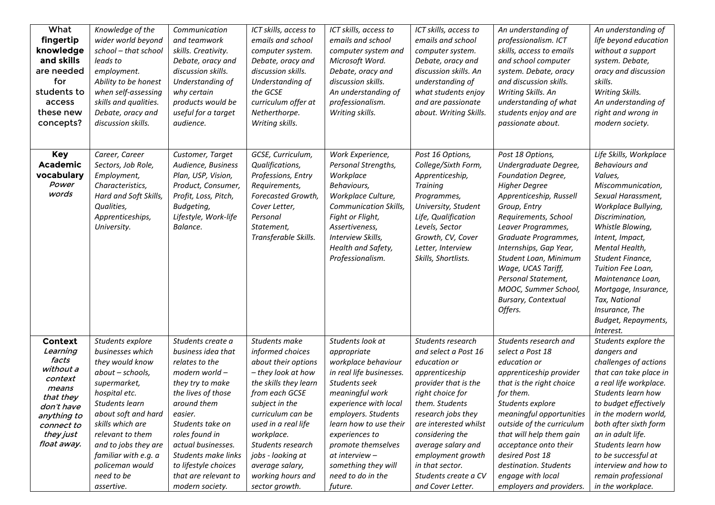| What<br>fingertip<br>knowledge<br>and skills<br>are needed<br>for<br>students to<br>access<br>these new<br>concepts?                                     | Knowledge of the<br>wider world beyond<br>school - that school<br>leads to<br>employment.<br>Ability to be honest<br>when self-assessing<br>skills and qualities.<br>Debate, oracy and<br>discussion skills.                                                                                 | Communication<br>and teamwork<br>skills. Creativity.<br>Debate, oracy and<br>discussion skills.<br>Understanding of<br>why certain<br>products would be<br>useful for a target<br>audience.                                                                                                           | ICT skills, access to<br>emails and school<br>computer system.<br>Debate, oracy and<br>discussion skills.<br>Understanding of<br>the GCSE<br>curriculum offer at<br>Netherthorpe.<br>Writing skills.                                                                                                      | ICT skills, access to<br>emails and school<br>computer system and<br>Microsoft Word.<br>Debate, oracy and<br>discussion skills.<br>An understanding of<br>professionalism.<br>Writing skills.                                                                                                                     | ICT skills, access to<br>emails and school<br>computer system.<br>Debate, oracy and<br>discussion skills. An<br>understanding of<br>what students enjoy<br>and are passionate<br>about. Writing Skills.                                                                                                                | An understanding of<br>professionalism. ICT<br>skills, access to emails<br>and school computer<br>system. Debate, oracy<br>and discussion skills.<br>Writing Skills. An<br>understanding of what<br>students enjoy and are<br>passionate about.                                                                                                                    | An understanding of<br>life beyond education<br>without a support<br>system. Debate,<br>oracy and discussion<br>skills.<br>Writing Skills.<br>An understanding of<br>right and wrong in<br>modern society.                                                                                                                                                                   |
|----------------------------------------------------------------------------------------------------------------------------------------------------------|----------------------------------------------------------------------------------------------------------------------------------------------------------------------------------------------------------------------------------------------------------------------------------------------|-------------------------------------------------------------------------------------------------------------------------------------------------------------------------------------------------------------------------------------------------------------------------------------------------------|-----------------------------------------------------------------------------------------------------------------------------------------------------------------------------------------------------------------------------------------------------------------------------------------------------------|-------------------------------------------------------------------------------------------------------------------------------------------------------------------------------------------------------------------------------------------------------------------------------------------------------------------|------------------------------------------------------------------------------------------------------------------------------------------------------------------------------------------------------------------------------------------------------------------------------------------------------------------------|--------------------------------------------------------------------------------------------------------------------------------------------------------------------------------------------------------------------------------------------------------------------------------------------------------------------------------------------------------------------|------------------------------------------------------------------------------------------------------------------------------------------------------------------------------------------------------------------------------------------------------------------------------------------------------------------------------------------------------------------------------|
| <b>Key</b><br><b>Academic</b><br>vocabulary<br>Power<br>words                                                                                            | Career, Career<br>Sectors, Job Role,<br>Employment,<br>Characteristics,<br>Hard and Soft Skills,<br>Qualities,<br>Apprenticeships,<br>University.                                                                                                                                            | Customer, Target<br>Audience, Business<br>Plan, USP, Vision,<br>Product, Consumer,<br>Profit, Loss, Pitch,<br>Budgeting,<br>Lifestyle, Work-life<br>Balance.                                                                                                                                          | GCSE, Curriculum,<br>Qualifications,<br>Professions, Entry<br>Requirements,<br>Forecasted Growth,<br>Cover Letter,<br>Personal<br>Statement,<br>Transferable Skills.                                                                                                                                      | Work Experience,<br>Personal Strengths,<br>Workplace<br>Behaviours,<br>Workplace Culture,<br><b>Communication Skills.</b><br>Fight or Flight,<br>Assertiveness,<br>Interview Skills,<br>Health and Safety,<br>Professionalism.                                                                                    | Post 16 Options,<br>College/Sixth Form,<br>Apprenticeship,<br><b>Training</b><br>Programmes,<br>University, Student<br>Life, Qualification<br>Levels, Sector<br>Growth, CV, Cover<br>Letter, Interview<br>Skills, Shortlists.                                                                                          | Post 18 Options,<br>Undergraduate Degree,<br>Foundation Degree,<br><b>Higher Degree</b><br>Apprenticeship, Russell<br>Group, Entry<br>Requirements, School<br>Leaver Programmes,<br>Graduate Programmes,<br>Internships, Gap Year,<br>Student Loan, Minimum<br>Wage, UCAS Tariff,<br>Personal Statement,<br>MOOC, Summer School,<br>Bursary, Contextual<br>Offers. | Life Skills, Workplace<br><b>Behaviours and</b><br>Values,<br>Miscommunication,<br>Sexual Harassment,<br>Workplace Bullying,<br>Discrimination,<br>Whistle Blowing,<br>Intent, Impact,<br>Mental Health,<br>Student Finance,<br>Tuition Fee Loan,<br>Maintenance Loan,<br>Mortgage, Insurance,<br>Tax, National<br>Insurance, The<br><b>Budget, Repayments,</b><br>Interest. |
| <b>Context</b><br>Learning<br>facts<br>without a<br>context<br>means<br>that they<br>don't have<br>anything to<br>connect to<br>they just<br>float away. | Students explore<br>businesses which<br>they would know<br>about - schools,<br>supermarket,<br>hospital etc.<br>Students learn<br>about soft and hard<br>skills which are<br>relevant to them<br>and to jobs they are<br>familiar with e.g. a<br>policeman would<br>need to be<br>assertive. | Students create a<br>business idea that<br>relates to the<br>modern world -<br>they try to make<br>the lives of those<br>around them<br>easier.<br>Students take on<br>roles found in<br>actual businesses.<br>Students make links<br>to lifestyle choices<br>that are relevant to<br>modern society. | Students make<br>informed choices<br>about their options<br>- they look at how<br>the skills they learn<br>from each GCSE<br>subject in the<br>curriculum can be<br>used in a real life<br>workplace.<br>Students research<br>jobs - looking at<br>average salary,<br>working hours and<br>sector growth. | Students look at<br>appropriate<br>workplace behaviour<br>in real life businesses.<br>Students seek<br>meaningful work<br>experience with local<br>employers. Students<br>learn how to use their<br>experiences to<br>promote themselves<br>at interview -<br>something they will<br>need to do in the<br>future. | Students research<br>and select a Post 16<br>education or<br>apprenticeship<br>provider that is the<br>right choice for<br>them. Students<br>research jobs they<br>are interested whilst<br>considering the<br>average salary and<br>employment growth<br>in that sector.<br>Students create a CV<br>and Cover Letter. | Students research and<br>select a Post 18<br>education or<br>apprenticeship provider<br>that is the right choice<br>for them.<br>Students explore<br>meaningful opportunities<br>outside of the curriculum<br>that will help them gain<br>acceptance onto their<br>desired Post 18<br>destination. Students<br>engage with local<br>employers and providers.       | Students explore the<br>dangers and<br>challenges of actions<br>that can take place in<br>a real life workplace.<br>Students learn how<br>to budget effectively<br>in the modern world,<br>both after sixth form<br>an in adult life.<br>Students learn how<br>to be successful at<br>interview and how to<br>remain professional<br>in the workplace.                       |